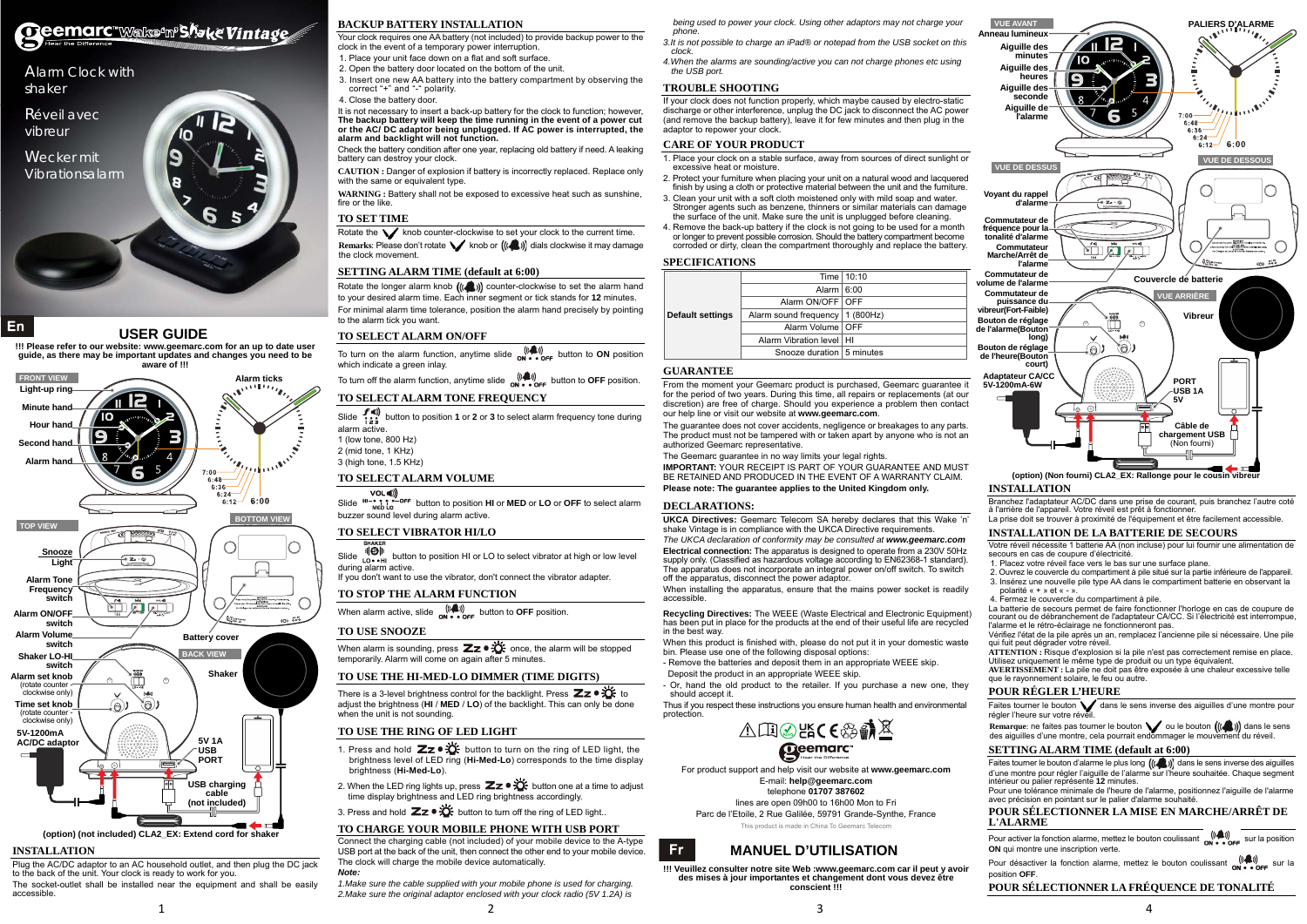



### **USER GUIDE**

 **!!! Please refer to our website: www.geemarc.com for an up to date user guide, as there may be important updates and changes you need to be aware of !!!** 

#### **INSTALLATION**

Plug the AC/DC adaptor to an AC household outlet, and then plug the DC jack to the back of the unit. Your clock is ready to work for you.

The socket-outlet shall be installed near the equipment and shall be easily accessible.

#### **BACKUP BATTERY INSTALLATION**

Your clock requires one AA battery (not included) to provide backup power to the clock in the event of a temporary power interruption.

**CAUTION :** Danger of explosion if battery is incorrectly replaced. Replace only with the same or equivalent type.

1. Place your unit face down on a flat and soft surface.

WARNING : Battery shall not be exposed to excessive heat such as sunshine. fire or the like.

- 2. Open the battery door located on the bottom of the unit.
- 3. Insert one new AA battery into the battery compartment by observing the correct "+" and "-" polarity.
- 4. Close the battery door.

Rotate the  $\blacktriangledown$  knob counter-clockwise to set your clock to the current time. **Remarks: Please don't rotate value of**  $((\bullet\bullet))$  **dials clockwise it may damage** the clock movement.

Rotate the longer alarm knob  $((\bullet))$  counter-clockwise to set the alarm hand to your desired alarm time. Each inner segment or tick stands for **12** minutes. For minimal alarm time tolerance, position the alarm hand precisely by pointing to the alarm tick you want.

It is not necessary to insert a back-up battery for the clock to function; however, **The backup battery will keep the time running in the event of a power cut or the AC/ DC adaptor being unplugged. If AC power is interrupted, the alarm and backlight will not function.** 

which indicate a green inlay. To turn off the alarm function, anytime slide  $\sum_{n=1}^{m}$  button to **OFF** position.

- Slide  $f(\mathbf{w})$  button to position **1** or **2** or **3** to select alarm frequency tone during alarm active.
- 1 (low tone, 800 Hz)
- 2 (mid tone, 1 KHz) 3 (high tone, 1.5 KHz)

Check the battery condition after one year, replacing old battery if need. A leaking battery can destroy your clock.

**Slide**  $H\rightarrow P$ ,  $P$  of button to position **HI** or **MED** or **LO** or **OFF** to select alarm buzzer sound level during alarm active.

Slide  $\frac{d}{d\theta}$  s steet vibrator at high or low level during alarm active.

When alarm is sounding, press  $\mathbb{Z}_2 \bullet \mathbb{X}$  once, the alarm will be stopped temporarily. Alarm will come on again after 5 minutes.

#### **TO SET TIME**

#### **SETTING ALARM TIME (default at 6:00)**

#### **TO SELECT ALARM ON/OFF**

To turn on the alarm function, anytime slide  $\frac{((\clubsuit))}{\text{ON} \cdot \text{OS} + \text{OS} + \text{OS}}$  button to **ON** position

### **TO SELECT ALARM TONE FREQUENCY**

# **TO SELECT ALARM VOLUME**

#### **TO SELECT VIBRATOR HI/LO**

If you don't want to use the vibrator, don't connect the vibrator adapter.

#### **TO STOP THE ALARM FUNCTION**

When alarm active, slide  $\frac{(\langle \phi_1, \phi \rangle)}{N! \cdot \cdot \cdot N}$  button to **OFF** position.

#### **TO USE SNOOZE**

#### **TO USE THE HI-MED-LO DIMMER (TIME DIGITS)**

There is a 3-level brightness control for the backlight. Press  $\mathbb{Z}$   $\infty$   $\mathbb{C}^*$  to adjust the brightness (**HI** / **MED** / **LO**) of the backlight. This can only be done when the unit is not sounding.

#### **TO USE THE RING OF LED LIGHT**

- 1. Press and hold  $\mathbb{Z}z \cdot \mathbb{C}$  button to turn on the ring of LED light, the brightness level of LED ring (**Hi-Med-Lo**) corresponds to the time display brightness (**Hi-Med-Lo**).
- 2. When the LED ring lights up, press  $\mathbb{Z}z \cdot \mathbb{X}$  button one at a time to adjust time display brightness and LED ring brightness accordingly.
- 3. Press and hold  $\mathbb{Z}z \cdot \overleftrightarrow{\mathbf{C}}$  button to turn off the ring of LED light..

#### **TO CHARGE YOUR MOBILE PHONE WITH USB PORT**

Connect the charging cable (not included) of your mobile device to the A-type USB port at the back of the unit, then connect the other end to your mobile device. The clock will charge the mobile device automatically. *Note:* 

*1.Make sure the cable supplied with your mobile phone is used for charging. 2.Make sure the original adaptor enclosed with your clock radio (5V 1.2A) is*  *being used to power your clock. Using other adaptors may not charge your phone.* 

- *3.It is not possible to charge an iPad® or notepad from the USB socket on this clock.*
- *4.When the alarms are sounding/active you can not charge phones etc using the USB port.*

#### **TROUBLE SHOOTING**

If your clock does not function properly, which maybe caused by electro-static discharge or other interference, unplug the DC jack to disconnect the AC power (and remove the backup battery), leave it for few minutes and then plug in the adaptor to repower your clock.

#### **CARE OF YOUR PRODUCT**

Faites tourner le bouton  $\bigvee$  dans le sens inverse des aiguilles d'une montre pour régler l'heure sur votre réveil.

Remarque: ne faites pas tourner le bouton  $\bigvee$  ou le bouton  $(\langle\!\langle\!\langle\!\langle\!\langle\!\rangle\rangle\!\rangle)$  dans le sens des aiguilles d'une montre, cela pourrait endommager le mouvement du réveil.

- 1. Place your clock on a stable surface, away from sources of direct sunlight or excessive heat or moisture.
- 2. Protect your furniture when placing your unit on a natural wood and lacquered finish by using a cloth or protective material between the unit and the furniture.
- 3. Clean your unit with a soft cloth moistened only with mild soap and water. Stronger agents such as benzene, thinners or similar materials can damage the surface of the unit. Make sure the unit is unplugged before cleaning.
- . Remove the back-up battery if the clock is not going to be used for a month or longer to prevent possible corrosion. Should the battery compartment become corroded or dirty, clean the compartment thoroughly and replace the battery.

Faites tourner le bouton d'alarme le plus long  $((\bullet))$  dans le sens inverse des aiguilles d'une montre pour régler l'aiguille de l'alarme sur l'heure souhaitée. Chaque segment intérieur ou palier représente **12** minutes.

Pour activer la fonction alarme, mettez le bouton coulissant  $\sum_{n=2}^{\infty}$  sur la position **ON** qui montre une inscription verte.

Pour désactiver la fonction alarme, mettez le bouton coulissant  $\binom{(\ell-1)}{N}$  sur la position **OFF**.

#### **SPECIFICATIONS**

|                         |                                   | Time   10:10 |  |
|-------------------------|-----------------------------------|--------------|--|
|                         | Alarm $ 6:00$                     |              |  |
|                         | Alarm ON/OFF   OFF                |              |  |
| <b>Default settings</b> | Alarm sound frequency   1 (800Hz) |              |  |
|                         | Alarm Volume   OFF                |              |  |
|                         | Alarm Vibration level   HI        |              |  |
|                         | Snooze duration 5 minutes         |              |  |

#### **GUARANTEE**

From the moment your Geemarc product is purchased, Geemarc guarantee it for the period of two years. During this time, all repairs or replacements (at our discretion) are free of charge. Should you experience a problem then contact our help line or visit our website at **www.geemarc.com**.

The guarantee does not cover accidents, negligence or breakages to any parts. The product must not be tampered with or taken apart by anyone who is not an authorized Geemarc representative.

The Geemarc quarantee in no way limits your legal rights.

**IMPORTANT:** YOUR RECEIPT IS PART OF YOUR GUARANTEE AND MUST BE RETAINED AND PRODUCED IN THE EVENT OF A WARRANTY CLAIM. **Please note: The guarantee applies to the United Kingdom only.** 

#### **DECLARATIONS:**

**Fr** 

**UKCA Directives:** Geemarc Telecom SA hereby declares that this Wake 'n' shake Vintage is in compliance with the UKCA Directive requirements.

*The UKCA declaration of conformity may be consulted at www.geemarc.com* **Electrical connection:** The apparatus is designed to operate from a 230V 50Hz supply only. (Classified as hazardous voltage according to EN62368-1 standard). The apparatus does not incorporate an integral power on/off switch. To switch off the apparatus, disconnect the power adaptor.

When installing the apparatus, ensure that the mains power socket is readily accessible.

**Recycling Directives:** The WEEE (Waste Electrical and Electronic Equipment) has been put in place for the products at the end of their useful life are recycled in the best way.

When this product is finished with, please do not put it in your domestic waste bin. Please use one of the following disposal options:

- Remove the batteries and deposit them in an appropriate WEEE skip. Deposit the product in an appropriate WEEE skip.
- Or, hand the old product to the retailer. If you purchase a new one, they should accept it.

Thus if you respect these instructions you ensure human health and environmental protection.



For product support and help visit our website at **www.geemarc.com**  E-mail: **help@geemarc.com**  telephone **01707 387602**  lines are open 09h00 to 16h00 Mon to Fri Parc de l'Etoile, 2 Rue Galilée, 59791 Grande-Synthe, France

This product is made in China To Geemarc Telecom

# **MANUEL D'UTILISATION**

**!!! Veuillez consulter notre site Web :www.geemarc.com car il peut y avoir des mises à jour importantes et changement dont vous devez être conscient !!!** 

#### **INSTALLATION**

Branchez l'adaptateur AC/DC dans une prise de courant, puis branchez l'autre coté à l'arrière de l'appareil. Votre réveil est prêt à fonctionner. La prise doit se trouver à proximité de l'équipement et être facilement accessible.

#### **INSTALLATION DE LA BATTERIE DE SECOURS**

Votre réveil nécessite 1 batterie AA (non incluse) pour lui fournir une alimentation de secours en cas de coupure d'électricité.

- 1. Placez votre réveil face vers le bas sur une surface plane.
- 2. Ouvrez le couvercle du compartiment à pile situé sur la partie inférieure de l'appareil. 3. Insérez une nouvelle pile type AA dans le compartiment batterie en observant la polarité « + » et « - ».
- 4. Fermez le couvercle du compartiment à pile.

La batterie de secours permet de faire fonctionner l'horloge en cas de coupure de courant ou de débranchement de l'adaptateur CA/CC. Si l'électricité est interrompue, l'alarme et le rétro-éclairage ne fonctionneront pas.

Vérifiez l'état de la pile après un an, remplacez l'ancienne pile si nécessaire. Une pile qui fuit peut dégrader votre réveil.

**ATTENTION :** Risque d'explosion si la pile n'est pas correctement remise en place. Utilisez uniquement le même type de produit ou un type équivalent.

**AVERTISSEMENT :** La pile ne doit pas être exposée à une chaleur excessive telle que le rayonnement solaire, le feu ou autre.

#### **POUR RÉGLER L'HEURE**

#### **SETTING ALARM TIME (default at 6:00)**

Pour une tolérance minimale de l'heure de l'alarme, positionnez l'aiguille de l'alarme avec précision en pointant sur le palier d'alarme souhaité.

#### **POUR SÉLECTIONNER LA MISE EN MARCHE/ARRÊT DE L'ALARME**

#### **POUR SÉLECTIONNER LA FRÉQUENCE DE TONALITÉ**





**(option) (Non fourni) CLA2\_EX: Rallonge pour le cousin vibreur**

# Ceemarc "Walke<sup>o</sup>m<sup>p'</sup>Shake Vintage

Alarm Clock with shaker

Réveil avec vibreur

Wecker mit Vibrationsalarm



# En